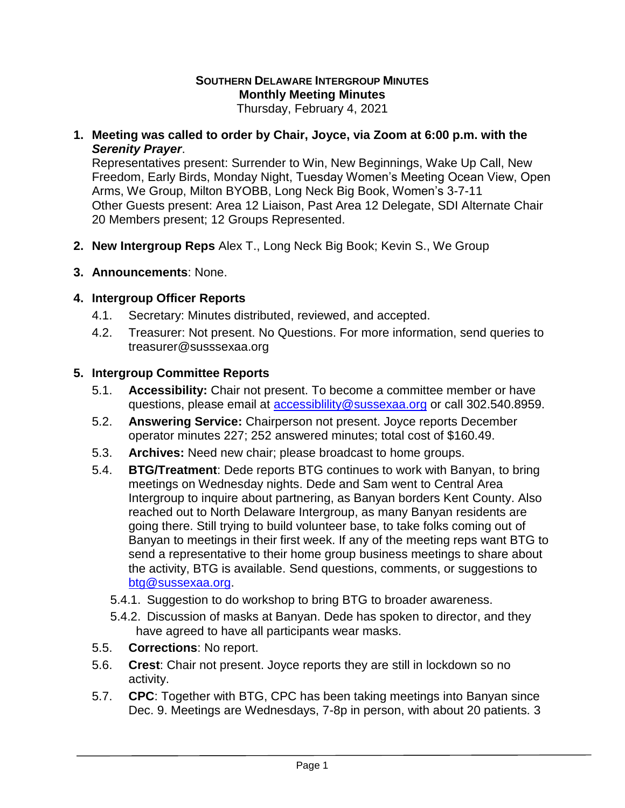## **SOUTHERN DELAWARE INTERGROUP MINUTES Monthly Meeting Minutes**

Thursday, February 4, 2021

**1. Meeting was called to order by Chair, Joyce, via Zoom at 6:00 p.m. with the**  *Serenity Prayer*.

Representatives present: Surrender to Win, New Beginnings, Wake Up Call, New Freedom, Early Birds, Monday Night, Tuesday Women's Meeting Ocean View, Open Arms, We Group, Milton BYOBB, Long Neck Big Book, Women's 3-7-11 Other Guests present: Area 12 Liaison, Past Area 12 Delegate, SDI Alternate Chair 20 Members present; 12 Groups Represented.

- **2. New Intergroup Reps** Alex T., Long Neck Big Book; Kevin S., We Group
- **3. Announcements**: None.

## **4. Intergroup Officer Reports**

- 4.1. Secretary: Minutes distributed, reviewed, and accepted.
- 4.2. Treasurer: Not present. No Questions. For more information, send queries to treasurer@susssexaa.org

## **5. Intergroup Committee Reports**

- 5.1. **Accessibility:** Chair not present. To become a committee member or have questions, please email at [accessiblility@sussexaa.org](mailto:accessiblility@sussexaa.org) or call 302.540.8959.
- 5.2. **Answering Service:** Chairperson not present. Joyce reports December operator minutes 227; 252 answered minutes; total cost of \$160.49.
- 5.3. **Archives:** Need new chair; please broadcast to home groups.
- 5.4. **BTG/Treatment**: Dede reports BTG continues to work with Banyan, to bring meetings on Wednesday nights. Dede and Sam went to Central Area Intergroup to inquire about partnering, as Banyan borders Kent County. Also reached out to North Delaware Intergroup, as many Banyan residents are going there. Still trying to build volunteer base, to take folks coming out of Banyan to meetings in their first week. If any of the meeting reps want BTG to send a representative to their home group business meetings to share about the activity, BTG is available. Send questions, comments, or suggestions to [btg@sussexaa.org.](mailto:btg@sussexaa.org)
	- 5.4.1. Suggestion to do workshop to bring BTG to broader awareness.
	- 5.4.2. Discussion of masks at Banyan. Dede has spoken to director, and they have agreed to have all participants wear masks.
- 5.5. **Corrections**: No report.
- 5.6. **Crest**: Chair not present. Joyce reports they are still in lockdown so no activity.
- 5.7. **CPC**: Together with BTG, CPC has been taking meetings into Banyan since Dec. 9. Meetings are Wednesdays, 7-8p in person, with about 20 patients. 3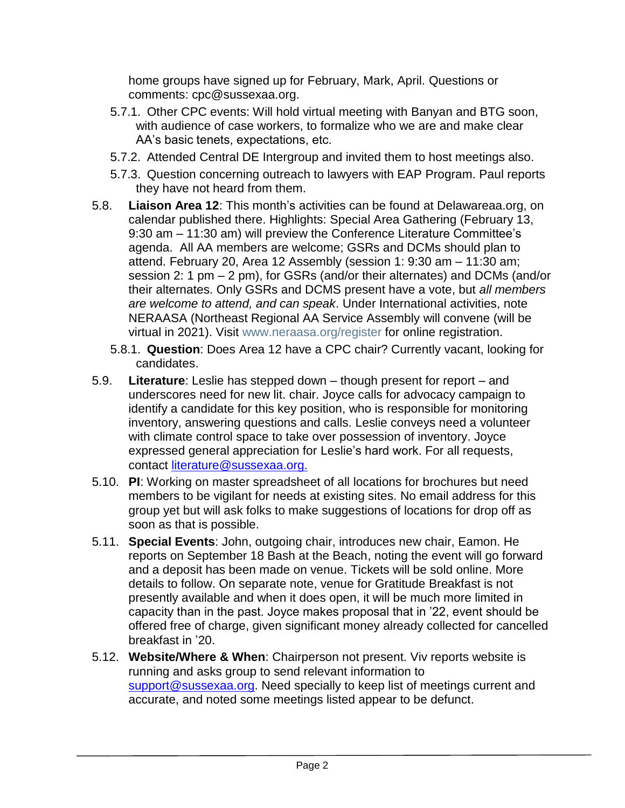home groups have signed up for February, Mark, April. Questions or comments: cpc@sussexaa.org.

- 5.7.1. Other CPC events: Will hold virtual meeting with Banyan and BTG soon, with audience of case workers, to formalize who we are and make clear AA's basic tenets, expectations, etc.
- 5.7.2. Attended Central DE Intergroup and invited them to host meetings also.
- 5.7.3. Question concerning outreach to lawyers with EAP Program. Paul reports they have not heard from them.
- 5.8. **Liaison Area 12**: This month's activities can be found at Delawareaa.org, on calendar published there. Highlights: Special Area Gathering (February 13, 9:30 am – 11:30 am) will preview the Conference Literature Committee's agenda. All AA members are welcome; GSRs and DCMs should plan to attend. February 20, Area 12 Assembly (session 1: 9:30 am – 11:30 am; session 2: 1 pm – 2 pm), for GSRs (and/or their alternates) and DCMs (and/or their alternates. Only GSRs and DCMS present have a vote, but *all members are welcome to attend, and can speak*. Under International activities, note NERAASA (Northeast Regional AA Service Assembly will convene (will be virtual in 2021). Visit [www.neraasa.org/register](http://www.neraasa.org/register) for online registration.
	- 5.8.1. **Question**: Does Area 12 have a CPC chair? Currently vacant, looking for candidates.
- 5.9. **Literature**: Leslie has stepped down though present for report and underscores need for new lit. chair. Joyce calls for advocacy campaign to identify a candidate for this key position, who is responsible for monitoring inventory, answering questions and calls. Leslie conveys need a volunteer with climate control space to take over possession of inventory. Joyce expressed general appreciation for Leslie's hard work. For all requests, contact [literature@sussexaa.org.](mailto:literature@sussexaa.org.)
- 5.10. **PI**: Working on master spreadsheet of all locations for brochures but need members to be vigilant for needs at existing sites. No email address for this group yet but will ask folks to make suggestions of locations for drop off as soon as that is possible.
- 5.11. **Special Events**: John, outgoing chair, introduces new chair, Eamon. He reports on September 18 Bash at the Beach, noting the event will go forward and a deposit has been made on venue. Tickets will be sold online. More details to follow. On separate note, venue for Gratitude Breakfast is not presently available and when it does open, it will be much more limited in capacity than in the past. Joyce makes proposal that in '22, event should be offered free of charge, given significant money already collected for cancelled breakfast in '20.
- 5.12. **Website/Where & When**: Chairperson not present. Viv reports website is running and asks group to send relevant information to [support@sussexaa.org.](mailto:support@sussexaa.org) Need specially to keep list of meetings current and accurate, and noted some meetings listed appear to be defunct.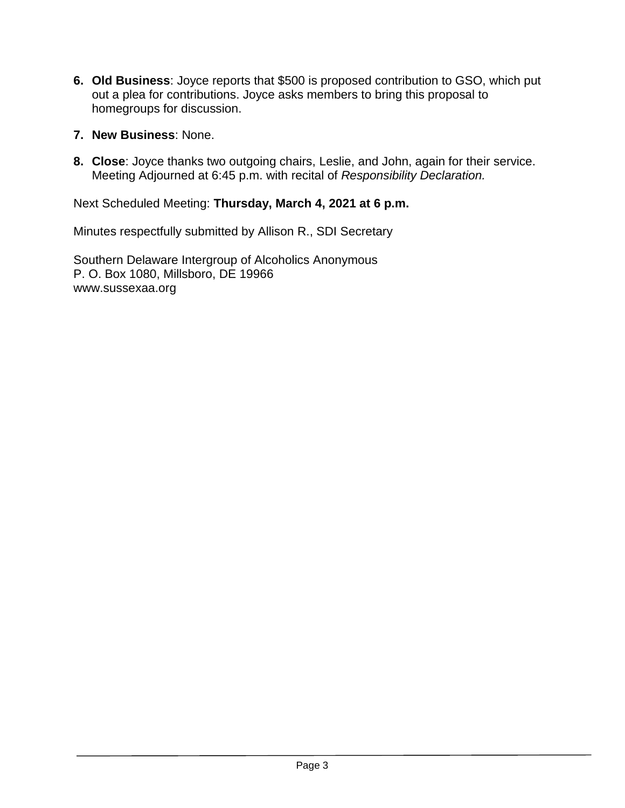- **6. Old Business**: Joyce reports that \$500 is proposed contribution to GSO, which put out a plea for contributions. Joyce asks members to bring this proposal to homegroups for discussion.
- **7. New Business**: None.
- **8. Close**: Joyce thanks two outgoing chairs, Leslie, and John, again for their service. Meeting Adjourned at 6:45 p.m. with recital of *Responsibility Declaration.*

Next Scheduled Meeting: **Thursday, March 4, 2021 at 6 p.m.**

Minutes respectfully submitted by Allison R., SDI Secretary

Southern Delaware Intergroup of Alcoholics Anonymous P. O. Box 1080, Millsboro, DE 19966 www.sussexaa.org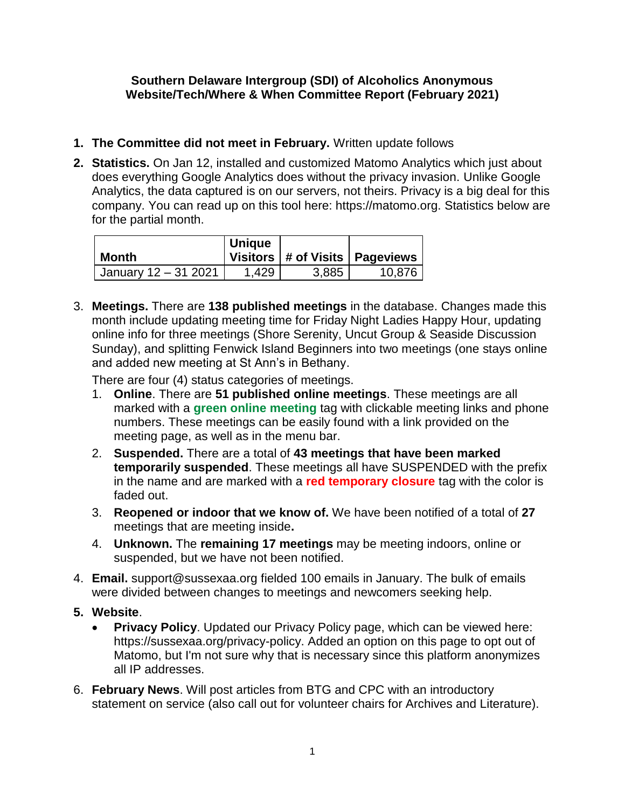## **Southern Delaware Intergroup (SDI) of Alcoholics Anonymous Website/Tech/Where & When Committee Report (February 2021)**

- **1. The Committee did not meet in February.** Written update follows
- **2. Statistics.** On Jan 12, installed and customized Matomo Analytics which just about does everything Google Analytics does without the privacy invasion. Unlike Google Analytics, the data captured is on our servers, not theirs. Privacy is a big deal for this company. You can read up on this tool here: https://matomo.org. Statistics below are for the partial month.

|                      | <b>Unique</b> |       |                                    |
|----------------------|---------------|-------|------------------------------------|
| Month                |               |       | Visitors   # of Visits   Pageviews |
| January 12 - 31 2021 | 1.429         | 3,885 | 10,876                             |

3. **Meetings.** There are **138 published meetings** in the database. Changes made this month include updating meeting time for Friday Night Ladies Happy Hour, updating online info for three meetings (Shore Serenity, Uncut Group & Seaside Discussion Sunday), and splitting Fenwick Island Beginners into two meetings (one stays online and added new meeting at St Ann's in Bethany.

There are four (4) status categories of meetings.

- 1. **Online**. There are **51 published online meetings**. These meetings are all marked with a **green online meeting** tag with clickable meeting links and phone numbers. These meetings can be easily found with a link provided on the meeting page, as well as in the menu bar.
- 2. **Suspended.** There are a total of **43 meetings that have been marked temporarily suspended**. These meetings all have SUSPENDED with the prefix in the name and are marked with a **red temporary closure** tag with the color is faded out.
- 3. **Reopened or indoor that we know of.** We have been notified of a total of **27** meetings that are meeting inside**.**
- 4. **Unknown.** The **remaining 17 meetings** may be meeting indoors, online or suspended, but we have not been notified.
- 4. **Email.** support@sussexaa.org fielded 100 emails in January. The bulk of emails were divided between changes to meetings and newcomers seeking help.
- **5. Website**.
	- **Privacy Policy**. Updated our Privacy Policy page, which can be viewed here: https://sussexaa.org/privacy-policy. Added an option on this page to opt out of Matomo, but I'm not sure why that is necessary since this platform anonymizes all IP addresses.
- 6. **February News**. Will post articles from BTG and CPC with an introductory statement on service (also call out for volunteer chairs for Archives and Literature).